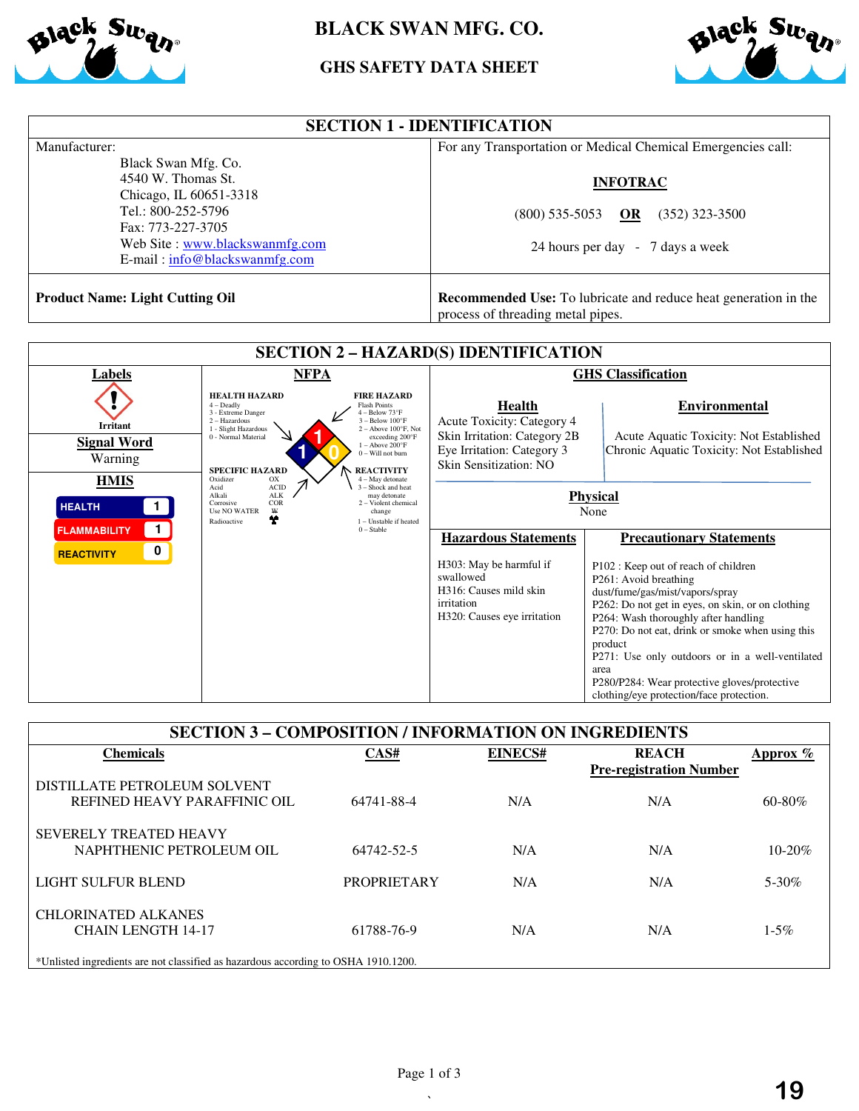

# **BLACK SWAN MFG. CO.**

# **GHS GHS SAFETY DATA SHEET**



| Manufacturer:<br>Black Swan Mfg. Co.                                                                                                                            | For any Transportation or Medical Chemical Emergencies call:                                                |  |  |
|-----------------------------------------------------------------------------------------------------------------------------------------------------------------|-------------------------------------------------------------------------------------------------------------|--|--|
| 4540 W. Thomas St.<br>Chicago, IL 60651-3318<br>Tel.: 800-252-5796<br>Fax: 773-227-3705<br>Web Site: www.blackswanmfg.com<br>$E$ -mail: $info@blackswannfg.com$ | <b>INFOTRAC</b><br>$(352)$ 323-3500<br>$(800)$ 535-5053<br>OR<br>24 hours per day - 7 days a week           |  |  |
| <b>Product Name: Light Cutting Oil</b>                                                                                                                          | <b>Recommended Use:</b> To lubricate and reduce heat generation in the<br>process of threading metal pipes. |  |  |

| <b>SECTION 2 - HAZARD(S) IDENTIFICATION</b>                   |                                                                                                                                                                                                                                                                                                                |                                                                                                                                            |                                                                                                                                                                                                                                                                                                                                                                                                                                                        |  |
|---------------------------------------------------------------|----------------------------------------------------------------------------------------------------------------------------------------------------------------------------------------------------------------------------------------------------------------------------------------------------------------|--------------------------------------------------------------------------------------------------------------------------------------------|--------------------------------------------------------------------------------------------------------------------------------------------------------------------------------------------------------------------------------------------------------------------------------------------------------------------------------------------------------------------------------------------------------------------------------------------------------|--|
| Labels                                                        | <b>NFPA</b>                                                                                                                                                                                                                                                                                                    | <b>GHS</b> Classification                                                                                                                  |                                                                                                                                                                                                                                                                                                                                                                                                                                                        |  |
| <b>Irritant</b><br><b>Signal Word</b>                         | <b>HEALTH HAZARD</b><br><b>FIRE HAZARD</b><br><b>Flash Points</b><br>$4 -$ Deadly<br>$-$ Below $73^{\circ}$ F<br>3 - Extreme Danger<br>$3 - Below 100°F$<br>2 - Hazardous<br>$2 -$ Above $100^{\circ}$ F. Not<br>1 - Slight Hazardous<br>0 - Normal Material<br>exceeding 200°F<br>$1 -$ Above $200^{\circ}$ F | Health<br>Acute Toxicity: Category 4<br>Skin Irritation: Category 2B                                                                       | Environmental<br>Acute Aquatic Toxicity: Not Established                                                                                                                                                                                                                                                                                                                                                                                               |  |
| Warning                                                       | $0 -$ Will not burn<br><b>SPECIFIC HAZARD</b><br><b>REACTIVITY</b>                                                                                                                                                                                                                                             | Eye Irritation: Category 3<br>Skin Sensitization: NO                                                                                       | Chronic Aquatic Toxicity: Not Established                                                                                                                                                                                                                                                                                                                                                                                                              |  |
| <b>HMIS</b><br><b>HEALTH</b>                                  | Oxidizer<br>$4 - May$ detonate<br>OX<br>$\rm ACID$<br>$3 -$ Shock and heat<br>Acid<br><b>ALK</b><br>Alkali<br>may detonate<br>COR<br>2 - Violent chemical<br>Corrosive<br>₩<br><b>Use NO WATER</b><br>change<br>Y<br>1 - Unstable if heated<br>Radioactive                                                     | <b>Physical</b><br>None                                                                                                                    |                                                                                                                                                                                                                                                                                                                                                                                                                                                        |  |
| 1.<br><b>FLAMMABILITY</b><br>$\mathbf 0$<br><b>REACTIVITY</b> | $0 - Stable$                                                                                                                                                                                                                                                                                                   | <b>Hazardous Statements</b><br>H303: May be harmful if<br>swallowed<br>H316: Causes mild skin<br>irritation<br>H320: Causes eye irritation | <b>Precautionary Statements</b><br>P102 : Keep out of reach of children<br>P261: Avoid breathing<br>dust/fume/gas/mist/vapors/spray<br>P262: Do not get in eyes, on skin, or on clothing<br>P264: Wash thoroughly after handling<br>P270: Do not eat, drink or smoke when using this<br>product<br>P271: Use only outdoors or in a well-ventilated<br>area<br>P280/P284: Wear protective gloves/protective<br>clothing/eye protection/face protection. |  |

| <b>SECTION 3 - COMPOSITION / INFORMATION ON INGREDIENTS</b>                        |                    |         |                                                |             |  |
|------------------------------------------------------------------------------------|--------------------|---------|------------------------------------------------|-------------|--|
| Chemicals                                                                          | CAS#               | EINECS# | <b>REACH</b><br><b>Pre-registration Number</b> | Approx %    |  |
| DISTILLATE PETROLEUM SOLVENT                                                       |                    |         |                                                |             |  |
| REFINED HEAVY PARAFFINIC OIL                                                       | 64741-88-4         | N/A     | N/A                                            | $60 - 80\%$ |  |
| <b>SEVERELY TREATED HEAVY</b>                                                      |                    |         |                                                |             |  |
| NAPHTHENIC PETROLEUM OIL                                                           | 64742-52-5         | N/A     | N/A                                            | $10 - 20%$  |  |
| LIGHT SULFUR BLEND                                                                 | <b>PROPRIETARY</b> | N/A     | N/A                                            | $5 - 30\%$  |  |
| <b>CHLORINATED ALKANES</b><br><b>CHAIN LENGTH 14-17</b>                            | 61788-76-9         | N/A     | N/A                                            | $1 - 5\%$   |  |
| *Unlisted ingredients are not classified as hazardous according to OSHA 1910.1200. |                    |         |                                                |             |  |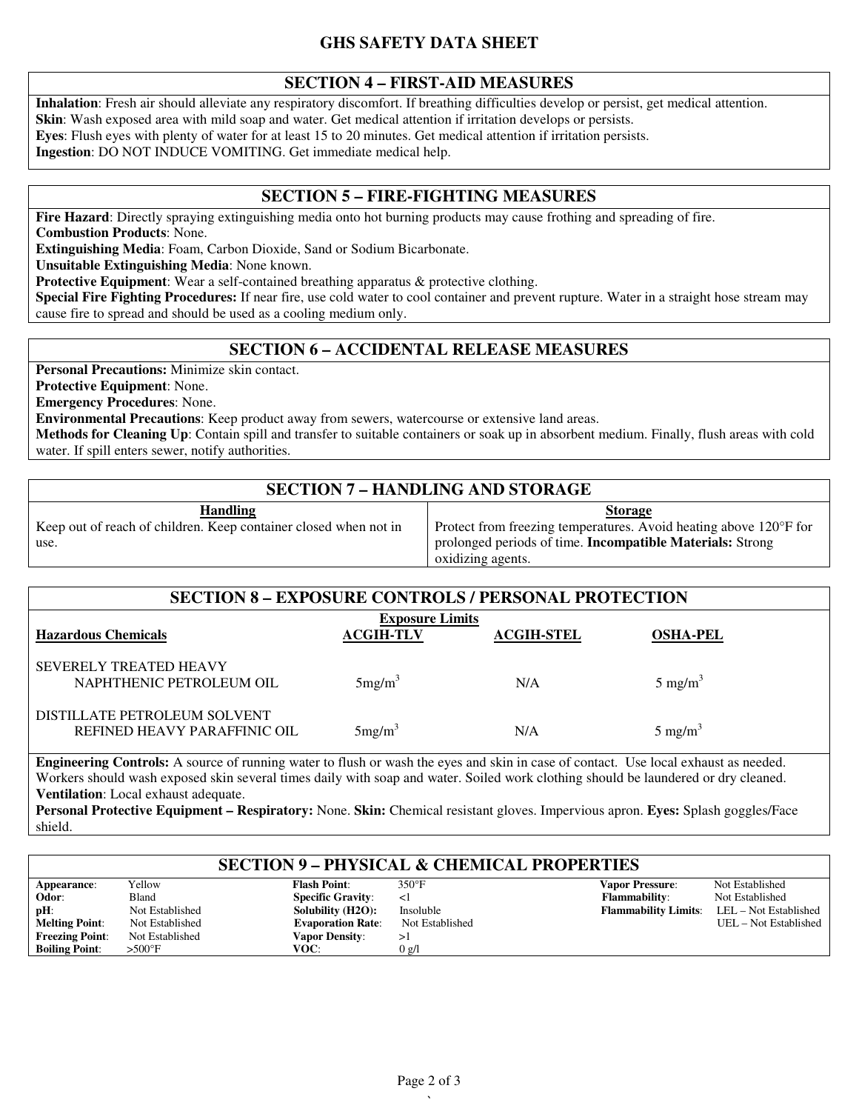### **SECTION 4 – FIRST-AID MEASURES**

**Inhalation**: Fresh air should alleviate any respiratory discomfort. If breathing difficulties develop or persist, get medical attention. **Skin**: Wash exposed area with mild soap and water. Get medical attention if irritation develops or persists. **Eyes**: Flush eyes with plenty of water for at least 15 to 20 minutes. Get medical attention if irritation persists. **Ingestion**: DO NOT INDUCE VOMITING. Get immediate medical help.

### **SECTION 5 – FIRE-FIGHTING MEASURES**

**Fire Hazard**: Directly spraying extinguishing media onto hot burning products may cause frothing and spreading of fire. **Combustion Products**: None.

**Extinguishing Media**: Foam, Carbon Dioxide, Sand or Sodium Bicarbonate.

**Unsuitable Extinguishing Media**: None known.

**Protective Equipment**: Wear a self-contained breathing apparatus & protective clothing.

**Special Fire Fighting Procedures:** If near fire, use cold water to cool container and prevent rupture. Water in a straight hose stream may cause fire to spread and should be used as a cooling medium only.

# **SECTION 6 – ACCIDENTAL RELEASE MEASURES**

**Personal Precautions:** Minimize skin contact.

**Protective Equipment**: None.

**Emergency Procedures**: None.

use.

**Environmental Precautions**: Keep product away from sewers, watercourse or extensive land areas.

**Methods for Cleaning Up**: Contain spill and transfer to suitable containers or soak up in absorbent medium. Finally, flush areas with cold water. If spill enters sewer, notify authorities.

# **SECTION 7 – HANDLING AND STORAGE**

**Handling** Keep out of reach of children. Keep container closed when not in

#### **Storage**

Protect from freezing temperatures. Avoid heating above 120°F for prolonged periods of time. **Incompatible Materials:** Strong oxidizing agents.

| <b>SECTION 8 - EXPOSURE CONTROLS / PERSONAL PROTECTION</b>   |                                            |                   |                    |  |
|--------------------------------------------------------------|--------------------------------------------|-------------------|--------------------|--|
| <b>Hazardous Chemicals</b>                                   | <b>Exposure Limits</b><br><b>ACGIH-TLV</b> | <b>ACGIH-STEL</b> | <b>OSHA-PEL</b>    |  |
| <b>SEVERELY TREATED HEAVY</b><br>NAPHTHENIC PETROLEUM OIL    | 5mg/m <sup>3</sup>                         | N/A               | $5 \text{ mg/m}^3$ |  |
| DISTILLATE PETROLEUM SOLVENT<br>REFINED HEAVY PARAFFINIC OIL | 5mg/m <sup>3</sup>                         | N/A               | $5 \text{ mg/m}^3$ |  |

**Engineering Controls:** A source of running water to flush or wash the eyes and skin in case of contact. Use local exhaust as needed. Workers should wash exposed skin several times daily with soap and water. Soiled work clothing should be laundered or dry cleaned. **Ventilation**: Local exhaust adequate.

**Personal Protective Equipment – Respiratory:** None. **Skin:** Chemical resistant gloves. Impervious apron. **Eyes:** Splash goggles/Face shield.

#### **SECTION 9 – PHYSICAL & CHEMICAL PROPERTIES**

| Appearance:            | Yellow           | <b>Flash Point:</b>      | $350^{\circ}$ F | <b>Vapor Pressure:</b>      | Not Established       |
|------------------------|------------------|--------------------------|-----------------|-----------------------------|-----------------------|
| Odor:                  | Bland            | <b>Specific Gravity:</b> |                 | <b>Flammability:</b>        | Not Established       |
| $pH$ :                 | Not Established  | Solubility (H2O):        | Insoluble       | <b>Flammability Limits:</b> | LEL – Not Established |
| <b>Melting Point:</b>  | Not Established  | <b>Evaporation Rate:</b> | Not Established |                             | UEL – Not Established |
| <b>Freezing Point:</b> | Not Established  | <b>Vapor Density:</b>    |                 |                             |                       |
| <b>Boiling Point:</b>  | $>500^{\circ}$ F | VOC:                     | $0 \text{ g/l}$ |                             |                       |